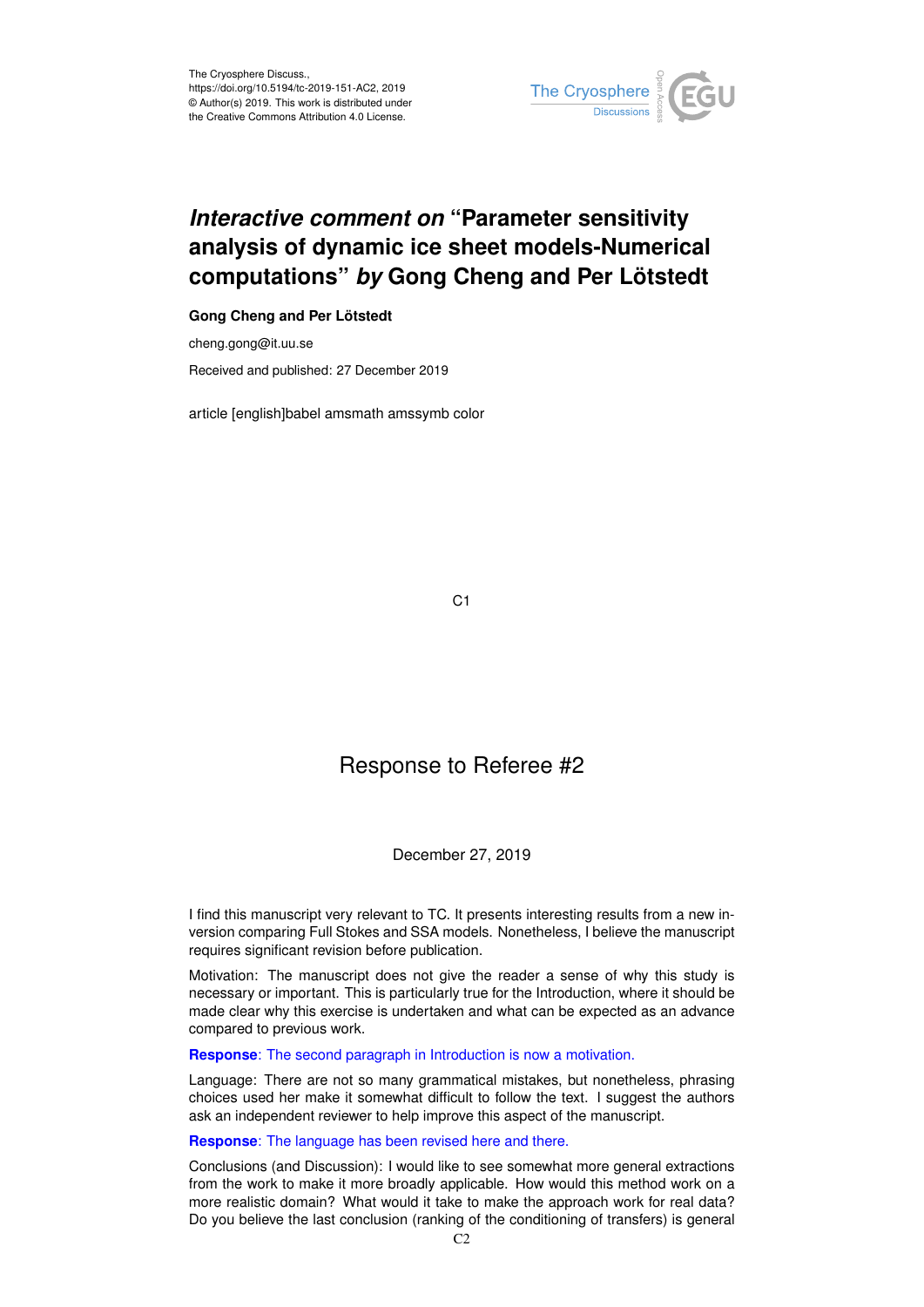

# *Interactive comment on* **"Parameter sensitivity analysis of dynamic ice sheet models-Numerical computations"** *by* **Gong Cheng and Per Lötstedt**

### **Gong Cheng and Per Lötstedt**

cheng.gong@it.uu.se Received and published: 27 December 2019

article [english]babel amsmath amssymb color

C1

## Response to Referee #2

#### December 27, 2019

I find this manuscript very relevant to TC. It presents interesting results from a new inversion comparing Full Stokes and SSA models. Nonetheless, I believe the manuscript requires significant revision before publication.

Motivation: The manuscript does not give the reader a sense of why this study is necessary or important. This is particularly true for the Introduction, where it should be made clear why this exercise is undertaken and what can be expected as an advance compared to previous work.

**Response**: The second paragraph in Introduction is now a motivation.

Language: There are not so many grammatical mistakes, but nonetheless, phrasing choices used her make it somewhat difficult to follow the text. I suggest the authors ask an independent reviewer to help improve this aspect of the manuscript.

**Response**: The language has been revised here and there.

Conclusions (and Discussion): I would like to see somewhat more general extractions from the work to make it more broadly applicable. How would this method work on a more realistic domain? What would it take to make the approach work for real data? Do you believe the last conclusion (ranking of the conditioning of transfers) is general